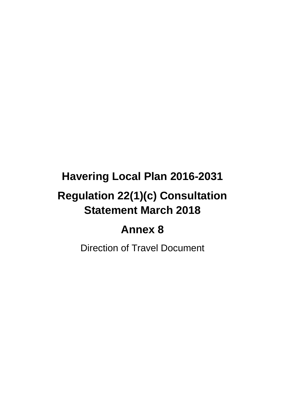# **Havering Local Plan 2016-2031 Regulation 22(1)(c) Consultation Statement March 2018**

## **Annex 8**

Direction of Travel Document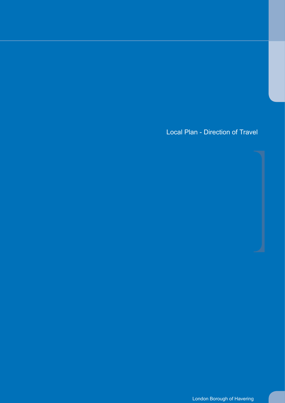Local Plan - Direction of Travel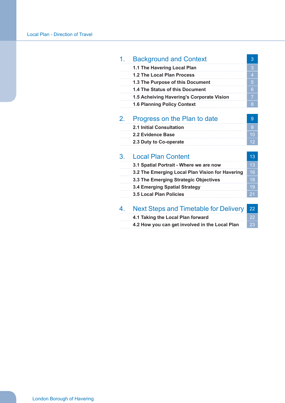| 1. | <b>Background and Context</b>                   | 3              |
|----|-------------------------------------------------|----------------|
|    | 1.1 The Havering Local Plan                     | 3              |
|    | 1.2 The Local Plan Process                      | $\overline{4}$ |
|    | 1.3 The Purpose of this Document                | 5              |
|    | 1.4 The Status of this Document                 | 6              |
|    | 1.5 Acheiving Havering's Corporate Vision       | $\overline{7}$ |
|    | <b>1.6 Planning Policy Context</b>              | 8              |
| 2. | Progress on the Plan to date                    | 9              |
|    | <b>2.1 Initial Consultation</b>                 | 9              |
|    | 2.2 Evidence Base                               | 10             |
|    | 2.3 Duty to Co-operate                          | 12             |
|    |                                                 |                |
| 3. | <b>Local Plan Content</b>                       | 13             |
|    | 3.1 Spatial Portrait - Where we are now         | 13             |
|    | 3.2 The Emerging Local Plan Vision for Havering | 16             |
|    | 3.3 The Emerging Strategic Objectives           | 18             |
|    | <b>3.4 Emerging Spatial Strategy</b>            | 19             |
|    | <b>3.5 Local Plan Policies</b>                  | 21             |
| 4. | <b>Next Steps and Timetable for Delivery</b>    | 22             |
|    | 4.1 Taking the Local Plan forward               | 22             |
|    | 4.2 How you can get involved in the Local Plan  | 23             |
|    |                                                 |                |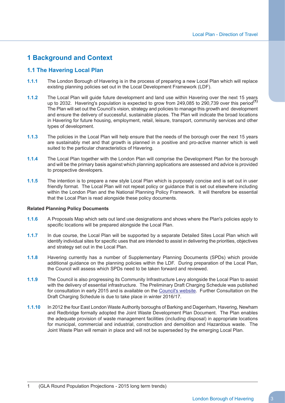## **1 Background and Context**

## **1.1 The Havering Local Plan**

- **1.1.1** The London Borough of Havering is in the process of preparing a new Local Plan which will replace existing planning policies set out in the Local Development Framework (LDF).
- **1.1.2** The Local Plan will guide future development and land use within Havering over the next 15 years up to 2032. Havering's population is expected to grow from 249,085 to 290,739 over this period**(1)** The Plan will set out the Council's vision, strategy and policies to manage this growth and development and ensure the delivery of successful, sustainable places. The Plan will indicate the broad locations in Havering for future housing, employment, retail, leisure, transport, community services and other types of development.
- **1.1.3** The policies in the Local Plan will help ensure that the needs of the borough over the next 15 years are sustainably met and that growth is planned in a positive and pro-active manner which is well suited to the particular characteristics of Havering.
- **1.1.4** The Local Plan together with the London Plan will comprise the Development Plan for the borough and will be the primary basis against which planning applications are assessed and advice is provided to prospective developers.
- **1.1.5** The intention is to prepare a new style Local Plan which is purposely concise and is set out in user friendly format. The Local Plan will not repeat policy or guidance that is set out elsewhere including within the London Plan and the National Planning Policy Framework. It will therefore be essential that the Local Plan is read alongside these policy documents.

#### **Related Planning Policy Documents**

- **1.1.6** A Proposals Map which sets out land use designations and shows where the Plan's policies apply to specific locations will be prepared alongside the Local Plan.
- **1.1.7** In due course, the Local Plan will be supported by a separate Detailed Sites Local Plan which will identify individual sites for specific uses that are intended to assist in delivering the priorities, objectives and strategy set out in the Local Plan.
- **1.1.8** Havering currently has a number of Supplementary Planning Documents (SPDs) which provide additional guidance on the planning policies within the LDF. During preparation of the Local Plan, the Council will assess which SPDs need to be taken forward and reviewed.
- **1.1.9** The Council is also progressing its Community Infrastructure Levy alongside the Local Plan to assist with the delivery of essential infrastructure. The Preliminary Draft Charging Schedule was published for consultation in early 2015 and is available on the <u>Council's website</u>. Further Consultation on the Draft Charging Schedule is due to take place in winter 2016/17.
- **1.1.10** In 2012 the four East London Waste Authority boroughs of Barking and Dagenham, Havering, Newham and Redbridge formally adopted the Joint Waste Development Plan Document. The Plan enables the adequate provision of waste management facilities (including disposal) in appropriate locations for municipal, commercial and industrial, construction and demolition and Hazardous waste. The Joint Waste Plan will remain in place and will not be superseded by the emerging Local Plan.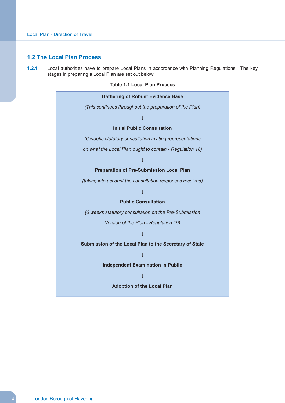#### **1.2 The Local Plan Process**

 **1.2.1** Local authorities have to prepare Local Plans in accordance with Planning Regulations. The key stages in preparing a Local Plan are set out below.

#### **Table 1.1 Local Plan Process**

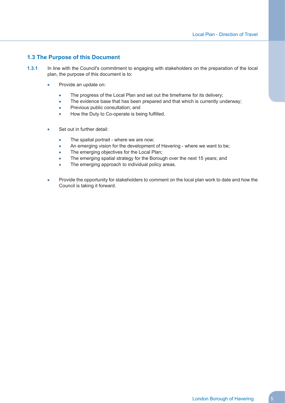## **1.3 The Purpose of this Document**

- **1.3.1** In line with the Council's commitment to engaging with stakeholders on the preparation of the local plan, the purpose of this document is to:
	- Provide an update on:
		- The progress of the Local Plan and set out the timeframe for its delivery;
		- $\bullet$ The evidence base that has been prepared and that which is currently underway;
		- Previous public consultation; and
		- $\blacksquare$ How the Duty to Co-operate is being fulfilled.
	- Set out in further detail:
		- The spatial portrait where we are now;
		- $\overline{\phantom{a}}$ An emerging vision for the development of Havering - where we want to be;
		- The emerging objectives for the Local Plan;
		- The emerging spatial strategy for the Borough over the next 15 years; and
		- $\bullet$ The emerging approach to individual policy areas.
	- $\bullet$  Provide the opportunity for stakeholders to comment on the local plan work to date and how the Council is taking it forward.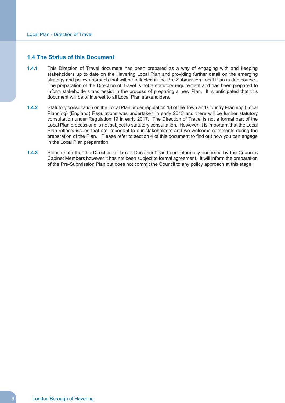#### **1.4 The Status of this Document**

- **1.4.1** This Direction of Travel document has been prepared as a way of engaging with and keeping stakeholders up to date on the Havering Local Plan and providing further detail on the emerging strategy and policy approach that will be reflected in the Pre-Submission Local Plan in due course. The preparation of the Direction of Travel is not a statutory requirement and has been prepared to inform stakeholders and assist in the process of preparing a new Plan. It is anticipated that this document will be of interest to all Local Plan stakeholders.
- **1.4.2** Statutory consultation on the Local Plan under regulation 18 of the Town and Country Planning (Local Planning) (England) Regulations was undertaken in early 2015 and there will be further statutory consultation under Regulation 19 in early 2017. The Direction of Travel is not a formal part of the Local Plan process and is not subject to statutory consultation. However, it is important that the Local Plan reflects issues that are important to our stakeholders and we welcome comments during the preparation of the Plan. Please refer to section 4 of this document to find out how you can engage in the Local Plan preparation.
- **1.4.3** Please note that the Direction of Travel Document has been informally endorsed by the Council's Cabinet Members however it has not been subject to formal agreement. It will inform the preparation of the Pre-Submission Plan but does not commit the Council to any policy approach at this stage.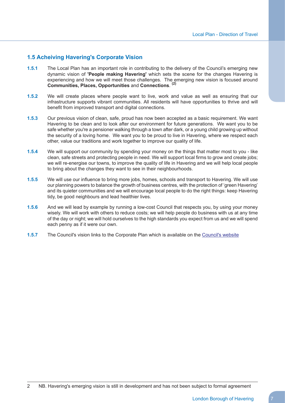## **1.5 Acheiving Havering's Corporate Vision**

- **1.5.1** The Local Plan has an important role in contributing to the delivery of the Council's emerging new dynamic vision of **'People making Havering'** which sets the scene for the changes Havering is experiencing and how we will meet those challenges. The emerging new vision is focused around **(2) Communities, Places, Opportunities** and **Connections**.
- **1.5.2** We will create places where people want to live, work and value as well as ensuring that our infrastructure supports vibrant communities. All residents will have opportunities to thrive and will benefit from improved transport and digital connections.
- **1.5.3** Our previous vision of clean, safe, proud has now been accepted as a basic requirement. We want Havering to be clean and to look after our environment for future generations. We want you to be safe whether you're a pensioner walking through a town after dark, or a young child growing up without the security of a loving home. We want you to be proud to live in Havering, where we respect each other, value our traditions and work together to improve our quality of life.
- **1.5.4** We will support our community by spending your money on the things that matter most to you like clean, safe streets and protecting people in need. We will support local firms to grow and create jobs; we will re-energise our towns, to improve the quality of life in Havering and we will help local people to bring about the changes they want to see in their neighbourhoods.
- **1.5.5** We will use our influence to bring more jobs, homes, schools and transport to Havering. We will use our planning powers to balance the growth of business centres, with the protection of 'green Havering' and its quieter communities and we will encourage local people to do the right things: keep Havering tidy, be good neighbours and lead healthier lives.
- **1.5.6** And we will lead by example by running a low-cost Council that respects you, by using your money wisely. We will work with others to reduce costs; we will help people do business with us at any time of the day or night; we will hold ourselves to the high standards you expect from us and we will spend each penny as if it were our own.
- **1.5.7** The Council's vision links to the Corporate Plan which is available on the [Council's](https://www.havering.gov.uk/Pages/Category/Vision.aspx) website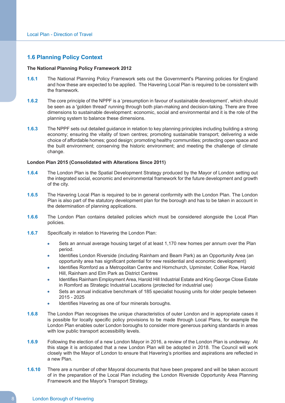## **1.6 Planning Policy Context**

#### **The National Planning Policy Framework 2012**

- **1.6.1** The National Planning Policy Framework sets out the Government's Planning policies for England and how these are expected to be applied. The Havering Local Plan is required to be consistent with the framework.
- **1.6.2** The core principle of the NPPF is a 'presumption in favour of sustainable development', which should be seen as a 'golden thread' running through both plan-making and decision-taking. There are three dimensions to sustainable development: economic, social and environmental and it is the role of the planning system to balance these dimensions.
- **1.6.3** The NPPF sets out detailed guidance in relation to key planning principles including building a strong economy; ensuring the vitality of town centres; promoting sustainable transport; delivering a wide choice of affordable homes; good design; promoting healthy communities; protecting open space and the built environment; conserving the historic environment; and meeting the challenge of climate change.

#### **London Plan 2015 (Consolidated with Alterations Since 2011)**

- **1.6.4** The London Plan is the Spatial Development Strategy produced by the Mayor of London setting out the integrated social, economic and environmental framework for the future development and growth of the city.
- **1.6.5** The Havering Local Plan is required to be in general conformity with the London Plan. The London Plan is also part of the statutory development plan for the borough and has to be taken in account in the determination of planning applications.
- **1.6.6** The London Plan contains detailed policies which must be considered alongside the Local Plan policies.
- **1.6.7** Specifically in relation to Havering the London Plan:
	- Sets an annual average housing target of at least 1,170 new homes per annum over the Plan period.
	- Identifies London Riverside (including Rainham and Beam Park) as an Opportunity Area (an opportunity area has significant potential for new residential and economic development)
	- Identifies Romford as a Metropolitan Centre and Hornchurch, Upminster, Collier Row, Harold Hill, Rainham and Elm Park as District Centres
	- Identifies Rainham Employment Area, Harold Hill Industrial Estate and King George Close Estate in Romford as Strategic Industrial Locations (protected for industrial use)
	- Sets an annual indicative benchmark of 185 specialist housing units for older people between 2015 - 2025
	- Identifies Havering as one of four minerals boroughs.
- **1.6.8** The London Plan recognises the unique characteristics of outer London and in appropriate cases it is possible for locally specific policy provisions to be made through Local Plans, for example the London Plan enables outer London boroughs to consider more generous parking standards in areas with low public transport accessibility levels.
- **1.6.9** Following the election of a new London Mayor in 2016, a review of the London Plan is underway. At this stage it is anticipated that a new London Plan will be adopted in 2018. The Council will work closely with the Mayor of London to ensure that Havering's priorities and aspirations are reflected in a new Plan.
- **1.6.10** There are a number of other Mayoral documents that have been prepared and will be taken account of in the preparation of the Local Plan including the London Riverside Opportunity Area Planning Framework and the Mayor's Transport Strategy.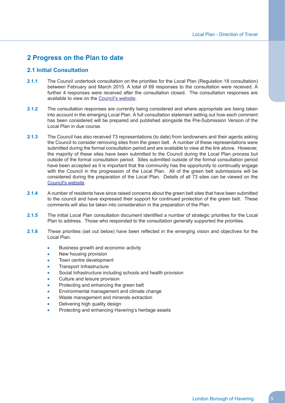## **2 Progress on the Plan to date**

## **2.1 Initial Consultation**

- **2.1.1** The Council undertook consultation on the priorities for the Local Plan (Regulation 18 consultation) between February and March 2015. A total of 69 responses to the consultation were received. A further 4 responses were received after the consultation closed. The consultation responses are available to view on the [Council's](https://www.havering.gov.uk/Pages/Services/Current-consultations.aspx?l1=200252&l2=200128) website.
- **2.1.2** The consultation responses are currently being considered and where appropriate are being taken into account in the emerging Local Plan. A full consultation statement setting out how each comment has been considered will be prepared and published alongside the Pre-Submission Version of the Local Plan in due course.
- **2.1.3** The Council has also received 73 representations (to date) from landowners and their agents asking the Council to consider removing sites from the green belt. A number of these representations were submitted during the formal consultation period and are available to view at the link above. However, the majority of these sites have been submitted to the Council during the Local Plan process but outside of the formal consultation period. Sites submitted outside of the formal consultation period have been accepted as it is important that the community has the opportunity to continually engage with the Council in the progression of the Local Plan. All of the green belt submissions will be considered during the preparation of the Local Plan. Details of all 73 sites can be viewed on the [Council's](https://www.havering.gov.uk/Pages/Services/Green-Belt-Sites.aspx?l1=200252&l2=200128) website.
- **2.1.4** A number of residents have since raised concerns about the green belt sites that have been submitted to the council and have expressed their support for continued protection of the green belt. These comments will also be taken into consideration in the preparation of the Plan.
- **2.1.5** The initial Local Plan consultation document identified a number of strategic priorities for the Local Plan to address. Those who responded to the consultation generally supported the priorities.
- **2.1.6** These priorities (set out below) have been reflected in the emerging vision and objectives for the Local Plan.
	- $\overline{\phantom{a}}$ Business growth and economic activity
	- New housing provision
	- Town centre development
	- Transport Infrastructure
	- Social Infrastructure including schools and health provision
	- Culture and leisure provision
	- Protecting and enhancing the green belt
	- Environmental management and climate change
	- Waste management and minerals extraction
	- Delivering high quality design
	- Protecting and enhancing Havering's heritage assets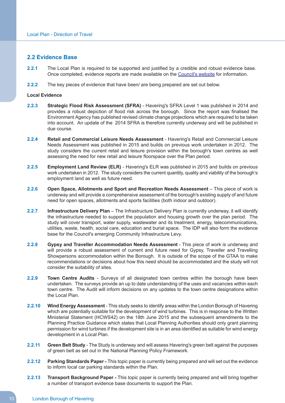#### **2.2 Evidence Base**

- **2.2.1** The Local Plan is required to be supported and justified by a credible and robust evidence base. Once completed, evidence reports are made available on the [Council's](https://www.havering.gov.uk/Pages/Services/Evidence-Base-Havering-Local-Plan.aspx) website for information.
- **2.2.2** The key pieces of evidence that have been/ are being prepared are set out below.

#### **Local Evidence**

- **2.2.3 Strategic Flood Risk Assessment (SFRA)** Havering's SFRA Level 1 was published in 2014 and provides a robust depiction of flood risk across the borough. Since the report was finalised the Environment Agency has published revised climate change projections which are required to be taken into account. An update of the 2014 SFRA is therefore currently underway and will be published in due course.
- **2.2.4 Retail and Commercial Leisure Needs Assessment** Havering's Retail and Commercial Leisure Needs Assessment was published in 2015 and builds on previous work undertaken in 2012. The study considers the current retail and leisure provision within the borough's town centres as well assessing the need for new retail and leisure floorspace over the Plan period.
- **2.2.5 Employment Land Review (ELR)** Havering's ELR was published in 2015 and builds on previous work undertaken in 2012. The study considers the current quantity, quality and viability of the borough's employment land as well as future need.
- **2.2.6 Open Space, Allotments and Sport and Recreation Needs Assessment** This piece of work is underway and will provide a comprehensive assessment of the borough's existing supply of and future need for open spaces, allotments and sports facilities (both indoor and outdoor).
- **2.2.7 Infrastructure Delivery Plan** The Infrastructure Delivery Plan is currently underway, it will identify the infrastructure needed to support the population and housing growth over the plan period. The study will cover transport, water supply, wastewater and its treatment, energy, telecommunications, utilities, waste, health, social care, education and burial space. The IDP will also form the evidence base for the Council's emerging Community Infrastructure Levy.
- **2.2.8 Gypsy and Traveller Accommodation Needs Assessment** This piece of work is underway and will provide a robust assessment of current and future need for Gypsy, Traveller and Travelling Showpersons accommodation within the Borough. It is outside of the scope of the GTAA to make recommendations or decisions about how this need should be accommodated and the study will not consider the suitability of sites.
- **2.2.9 Town Centre Audits** Surveys of all designated town centres within the borough have been undertaken. The surveys provide an up to date understanding of the uses and vacancies within each town centre. The Audit will inform decisions on any updates to the town centre designations within the Local Plan.
- **2.2.10 Wind Energy Assessment** This study seeks to identify areas within the London Borough of Havering which are potentially suitable for the development of wind turbines. This is in response to the Written Ministerial Statement (HCWS42) on the 18th June 2015 and the subsequent amendments to the Planning Practice Guidance which states that Local Planning Authorities should only grant planning permission for wind turbines if the development site is in an area identified as suitable for wind energy development in a Local Plan.
- **2.2.11 Green Belt Study** The Study is underway and will assess Havering's green belt against the purposes of green belt as set out in the National Planning Policy Framework.
- **2.2.12 Parking Standards Paper -** This topic paper is currently being prepared and will set out the evidence to inform local car parking standards within the Plan.
- **2.2.13 Transport Background Paper -** This topic paper is currently being prepared and will bring together a number of transport evidence base documents to support the Plan.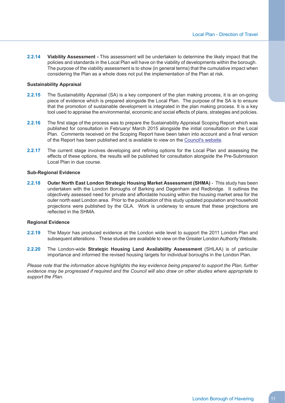**2.2.14 Viability Assessment -** This assessment will be undertaken to determine the likely impact that the policies and standards in the Local Plan will have on the viability of developments within the borough. The purpose of the viability assessment is to show (in general terms) that the cumulative impact when considering the Plan as a whole does not put the implementation of the Plan at risk.

#### **Sustainability Appraisal**

- **2.2.15** The Sustainability Appraisal (SA) is a key component of the plan making process, it is an on-going piece of evidence which is prepared alongside the Local Plan. The purpose of the SA is to ensure that the promotion of sustainable development is integrated in the plan making process. It is a key tool used to appraise the environmental, economic and social effects of plans, strategies and policies.
- **2.2.16** The first stage of the process was to prepare the Sustainability Appraisal Scoping Report which was published for consultation in February/ March 2015 alongside the initial consultation on the Local Plan. Comments received on the Scoping Report have been taken into account and a final version of the Report has been published and is available to view on the [Council's](https://www.havering.gov.uk/Pages/Services/Havering-Local-Plan.aspx) website.
- **2.2.17** The current stage involves developing and refining options for the Local Plan and assessing the effects of these options, the results will be published for consultation alongside the Pre-Submission Local Plan in due course.

#### **Sub-Regional Evidence**

 **2.2.18 Outer North East London Strategic Housing Market Assessment (SHMA)** - This study has been undertaken with the London Boroughs of Barking and Dagenham and Redbridge. It outlines the objectively assessed need for private and affordable housing within the housing market area for the outer north east London area. Prior to the publication of this study updated population and household projections were published by the GLA. Work is underway to ensure that these projections are reflected in the SHMA.

#### **Regional Evidence**

- **2.2.19** The Mayor has produced evidence at the London wide level to support the 2011 London Plan and subsequent alterations . These studies are available to view on the Greater London Authority Website.
- **2.2.20** The London-wide **Strategic Housing Land Availability Assessment** (SHLAA) is of particular importance and informed the revised housing targets for individual boroughs in the London Plan.

Please note that the information above highlights the key evidence being prepared to support the Plan, further evidence may be progressed if required and the Council will also draw on other studies where appropriate to *support the Plan.*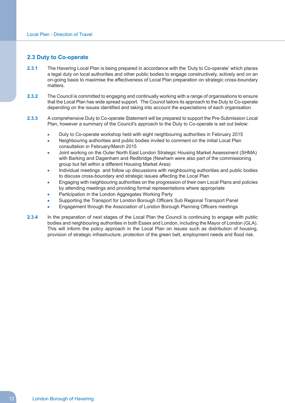#### **2.3 Duty to Co-operate**

- **2.3.1** The Havering Local Plan is being prepared in accordance with the 'Duty to Co-operate' which places a legal duty on local authorities and other public bodies to engage constructively, actively and on an on-going basis to maximise the effectiveness of Local Plan preparation on strategic cross-boundary matters.
- **2.3.2** The Council is committed to engaging and continually working with a range of organisations to ensure that the Local Plan has wide spread support. The Council tailors its approach to the Duty to Co-operate depending on the issues identified and taking into account the expectations of each organisation.
- **2.3.3** A comprehensive Duty to Co-operate Statement will be prepared to support the Pre-Submission Local Plan, however a summary of the Council's approach to the Duty to Co-operate is set out below:
	- Duty to Co-operate workshop held with eight neighbouring authorities in February 2015
	- Neighbouring authorities and public bodies invited to comment on the initial Local Plan consultation in February/March 2015
	- Joint working on the Outer North East London Strategic Housing Market Assessment (SHMA) with Barking and Dagenham and Redbridge (Newham were also part of the commissioning group but fall within a different Housing Market Area)
	- Individual meetings and follow up discussions with neighbouring authorities and public bodies to discuss cross-boundary and strategic issues affecting the Local Plan
	- Engaging with neighbouring authorities on the progression of their own Local Plans and policies by attending meetings and providing formal representations where appropriate
	- Participation in the London Aggregates Working Party
	- Supporting the Transport for London Borough Officers Sub Regional Transport Panel
	- Engagement through the Association of London Borough Planning Officers meetings
- **2.3.4** In the preparation of next stages of the Local Plan the Council is continuing to engage with public bodies and neighbouring authorities in both Essex and London, including the Mayor of London (GLA). This will inform the policy approach in the Local Plan on issues such as distribution of housing, provision of strategic infrastructure, protection of the green belt, employment needs and flood risk.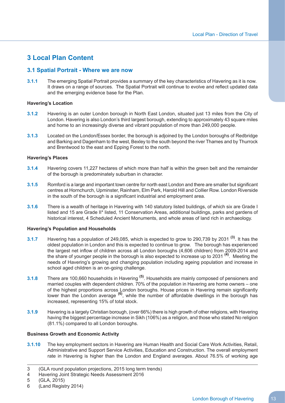## **3 Local Plan Content**

## **3.1 Spatial Portrait - Where we are now**

 **3.1.1** The emerging Spatial Portrait provides a summary of the key characteristics of Havering as it is now. It draws on a range of sources. The Spatial Portrait will continue to evolve and reflect updated data and the emerging evidence base for the Plan.

#### **Havering's Location**

- **3.1.2** Havering is an outer London borough in North East London, situated just 13 miles from the City of London. Havering is also London's third largest borough, extending to approximately 43 square miles and home to an increasingly diverse and vibrant population of more than 249,000 people.
- **3.1.3** Located on the London/Essex border, the borough is adjoined by the London boroughs of Redbridge and Barking and Dagenham to the west, Bexley to the south beyond the river Thames and by Thurrock and Brentwood to the east and Epping Forest to the north.

#### **Havering's Places**

- **3.1.4** Havering covers 11,227 hectares of which more than half is within the green belt and the remainder of the borough is predominately suburban in character.
- **3.1.5** Romford is a large and important town centre for north east London and there are smaller but significant centres at Hornchurch, Upminster, Rainham, Elm Park, Harold Hill and Collier Row. London Riverside in the south of the borough is a significant industrial and employment area.
- **3.1.6** There is a wealth of heritage in Havering with 140 statutory listed buildings, of which six are Grade I listed and 15 are Grade II\* listed, 11 Conservation Areas, additional buildings, parks and gardens of historical interest, 4 Scheduled Ancient Monuments, and whole areas of land rich in archaeology.

#### **Havering's Population and Households**

- **3.1.7** Havering has a population of 249,085, which is expected to grow to 290,739 by 2031 **(3)**. It has the oldest population in London and this is expected to continue to grow. The borough has experienced the largest net inflow of children across all London boroughs (4,606 children) from 2009-2014 and the share of younger people in the borough is also expected to increase up to 2031 **(4)**. Meeting the needs of Havering's growing and changing population including ageing population and increase in school aged children is an on-going challenge.
- **3.1.8** There are 100,660 households in Havering **(5)**. Households are mainly composed of pensioners and married couples with dependent children. 70% of the population in Havering are home owners – one of the highest proportions across London boroughs. House prices in Havering remain significantly of the highest proportions across London boroughs. House prices in Havering remain significantly<br>lower than the London average <sup>(6)</sup>, while the number of affordable dwellings in the borough has increased, representing 15% of total stock.
- **3.1.9** Havering is a largely Christian borough, (over 66%) there is high growth of other religions, with Havering having the biggest percentage increase in Sikh (106%) as a religion, and those who stated No religion (81.1%) compared to all London boroughs.

#### **Business Growth and Economic Activity**

 **3.1.10** The key employment sectors in Havering are Human Health and Social Care Work Activities, Retail, Administrative and Support Service Activities, Education and Construction. The overall employment rate in Havering is higher than the London and England averages. About 76.5% of working age

 Havering Joint Strategic Needs Assessment 2016 4

 (Land Registry 2014) 6

 (GLA round population projections, 2015 long term trends) 3

 (GLA, 2015) 5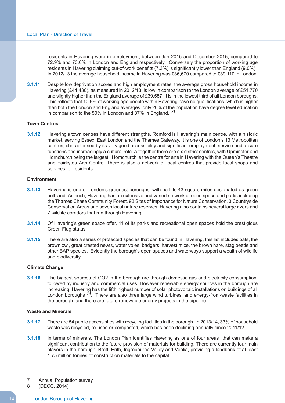residents in Havering were in employment, between Jan 2015 and December 2015, compared to 72.9% and 73.6% in London and England respectively. Conversely the proportion of working age residents in Havering claiming out-of-work benefits (7.3%) is significantly lower than England (9.0%). In 2012/13 the average household income in Havering was £36,670 compared to £39,110 in London.

 **3.1.11** Despite low deprivation scores and high employment rates, the average gross household income in Havering (£44,430), as measured in 2012/13, is low in comparison to the London average of £51,770 and slightly higher than the England average of £39,557. It is in the lowest third of all London boroughs. This reflects that 10.5% of working age people within Havering have no qualifications, which is higher than both the London and England averages. only 26% of th<u>e</u> population have degree level education in comparison to the 50% in London and 37% in England. **(7)**

#### **Town Centres**

 **3.1.12** Havering's town centres have different strengths. Romford is Havering's main centre, with a historic market, serving Essex, East London and the Thames Gateway. It is one of London's 13 Metropolitan centres, characterised by its very good accessibility and significant employment, service and leisure functions and increasingly a cultural role. Altogether there are six district centres, with Upminster and Hornchurch being the largest. Hornchurch is the centre for arts in Havering with the Queen's Theatre and Fairkytes Arts Centre. There is also a network of local centres that provide local shops and services for residents.

#### **Environment**

- **3.1.13** Havering is one of London's greenest boroughs, with half its 43 square miles designated as green belt land. As such, Havering has an extensive and varied network of open space and parks including the Thames Chase Community Forest, 93 Sites of Importance for Nature Conservation, 3 Countryside Conservation Areas and seven local nature reserves. Havering also contains several large rivers and 7 wildlife corridors that run through Havering.
- **3.1.14** Of Havering's green space offer, 11 of its parks and recreational open spaces hold the prestigious Green Flag status.
- **3.1.15** There are also a series of protected species that can be found in Havering, this list includes bats, the brown owl, great crested newts, water voles, badgers, harvest mice, the brown hare, stag beetle and other BAP species. Evidently the borough's open spaces and waterways support a wealth of wildlife and biodiversity.

#### **Climate Change**

 **3.1.16** The biggest sources of CO2 in the borough are through domestic gas and electricity consumption, followed by industry and commercial uses. However renewable energy sources in the borough are increasing. Havering has the fifth highest number of solar photovoltaic installations on buildings of all London boroughs **(8)**. There are also three large wind turbines, and energy-from-waste facilities in the borough, and there are future renewable energy projects in the pipeline.

#### **Waste and Minerals**

- **3.1.17** There are 54 public access sites with recycling facilities in the borough. In 2013/14, 33% of household waste was recycled, re-used or composted, which has been declining annually since 2011/12.
- **3.1.18** In terms of minerals, The London Plan identifies Havering as one of four areas that can make a significant contribution to the future provision of materials for building. There are currently four main players in the borough: Brett, Erith, Ingrebourne Valley and Veolia, providing a landbank of at least 1.75 million tonnes of construction materials to the capital.

 $\overline{7}$ 7 Annual Population survey

 8 (DECC, 2014)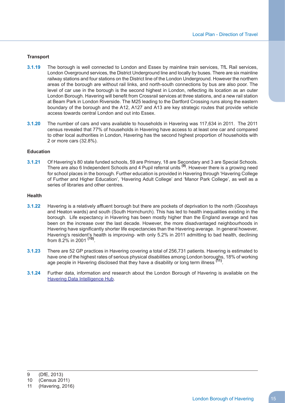#### **Transport**

- **3.1.19** The borough is well connected to London and Essex by mainline train services, TfL Rail services, London Overground services, the District Underground line and locally by buses. There are six mainline railway stations and four stations on the District line of the London Underground. However the northern areas of the borough are without rail links, and north-south connections by bus are also poor. The level of car use in the borough is the second highest in London, reflecting its location as an outer London Borough. Havering will benefit from Crossrail services at three stations, and a new rail station at Beam Park in London Riverside. The M25 leading to the Dartford Crossing runs along the eastern boundary of the borough and the A12, A127 and A13 are key strategic routes that provide vehicle access towards central London and out into Essex.
- **3.1.20** The number of cars and vans available to households in Havering was 117,634 in 2011. The 2011 census revealed that 77% of households in Havering have access to at least one car and compared to other local authorities in London, Havering has the second highest proportion of households with 2 or more cars (32.8%).

#### **Education**

 **3.1.21** Of Havering's 80 state funded schools, 59 are Primary, 18 are Secondary and 3 are Special Schools. There are also 6 Independent Schools and 4 Pupil referral units **(9)**. However there is a growing need for school places in the borough. Further education is provided in Havering through 'Havering College of Further and Higher Education', 'Havering Adult College' and 'Manor Park College', as well as a series of libraries and other centres.

#### **Health**

- **3.1.22** Havering is a relatively affluent borough but there are pockets of deprivation to the north (Gooshays and Heaton wards) and south (South Hornchurch). This has led to health inequalities existing in the borough. Life expectancy in Havering has been mostly higher than the England average and has been on the increase over the last decade. However, the more disadvantaged neighbourhoods in Havering have significantly shorter life expectancies than the Havering average. In general however, Havering's resident's health is improving- with only 5.2% in 2011 admitting to bad health, declining from 8.2% in 2001 **(10)**.
- **3.1.23** There are 52 GP practices in Havering covering a total of 256,731 patients. Havering is estimated to have one of the highest rates of serious physical disabilities among London boroughs, 18% of working age people in Havering disclosed that they have a disability or long term illness **(11)**.
- **3.1.24** Further data, information and research about the London Borough of Havering is available on the **Havering Data [Intelligence](http://www.haveringdata.net) Hub.**

 (DfE, 2013) 9

 (Census 2011) 10

 (Havering, 2016) 11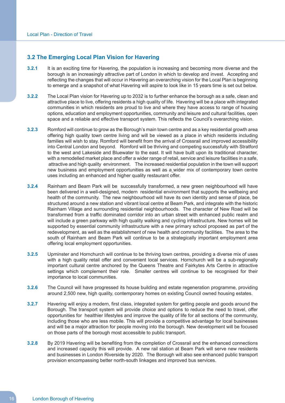## **3.2 The Emerging Local Plan Vision for Havering**

- **3.2.1** It is an exciting time for Havering, the population is increasing and becoming more diverse and the borough is an increasingly attractive part of London in which to develop and invest. Accepting and reflecting the changes that will occur in Havering an overarching vision for the Local Plan is beginning to emerge and a snapshot of what Havering will aspire to look like in 15 years time is set out below.
- **3.2.2** The Local Plan vision for Havering up to 2032 is to further enhance the borough as a safe, clean and attractive place to live, offering residents a high quality of life. Havering will be a place with integrated communities in which residents are proud to live and where they have access to range of housing options, education and employment opportunities, community and leisure and cultural facilities, open space and a reliable and effective transport system. This reflects the Council's overarching vision.
- **3.2.3** Romford will continue to grow as the Borough's main town centre and as a key residential growth area offering high quality town centre living and will be viewed as a place in which residents including families will wish to stay. Romford will benefit from the arrival of Crossrail and improved accessibility into Central London and beyond. Romford will be thriving and competing successfully with Stratford to the west and Lakeside and Bluewater to the east. It will have built upon its traditional character, with a remodelled market place and offer a wider range of retail, service and leisure facilities in a safe, attractive and high quality environment. The increased residential population in the town will support new business and employment opportunities as well as a\_wider mix of contemporary town centre uses including an enhanced and higher quality restaurant offer.
- **3.2.4** Rainham and Beam Park will be successfully transformed, a new green neighbourhood will have been delivered in a well-designed, modern residential environment that supports the wellbeing and health of the community. The new neighbourhood will have its own identity and sense of place, be structured around a new station and vibrant local centre at Beam Park, and integrate with the historic Rainham Village and surrounding residential neighbourhoods. The character of New Road will be transformed from a traffic dominated corridor into an urban street with enhanced public realm and will include a green parkway with high quality walking and cycling infrastructure. New homes will be supported by essential community infrastructure with a new primary school proposed as part of the redevelopment, as well as the establishment of new health and community facilities. The area to the south of Rainham and Beam Park will continue to be a strategically important employment area offering local employment opportunities.
- **3.2.5** Upminster and Hornchurch will continue to be thriving town centres, providing a diverse mix of uses with a high quality retail offer and convenient local services. Hornchurch will be a sub-regionally important cultural centre anchored by the Queens Theatre and Fairkytes Arts Centre in attractive settings which complement their role. Smaller centres will continue to be recognised for their importance to local communities.
- **3.2.6** The Council will have progressed its house building and estate regeneration programme, providing around 2,500 new, high quality, contemporary homes on existing Council owned housing estates.
- **3.2.7** Havering will enjoy a modern, first class, integrated system for getting people and goods around the Borough. The transport system will provide choice and options to reduce the need to travel, offer opportunities for healthier lifestyles and improve the quality of life for all sections of the community, including those who are less mobile. This will provide a competitive advantage for local businesses and will be a major attraction for people moving into the borough. New development will be focused on those parts of the borough most accessible to public transport.
- **3.2.8** By 2019 Havering will be benefiting from the completion of Crossrail and the enhanced connections and increased capacity this will provide. A new rail station at Beam Park will serve new residents and businesses in London Riverside by 2020. The Borough will also see enhanced public transport provision encompassing better north-south linkages and improved bus services.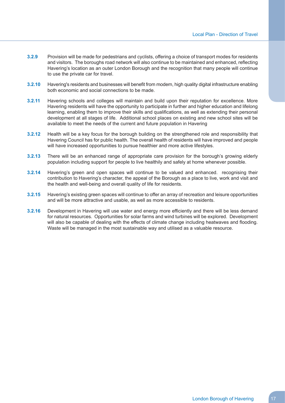- **3.2.9** Provision will be made for pedestrians and cyclists, offering a choice of transport modes for residents and visitors. The boroughs road network will also continue to be maintained and enhanced, reflecting Havering's location as an outer London Borough and the recognition that many people will continue to use the private car for travel.
- **3.2.10** Havering's residents and businesses will benefit from modern, high quality digital infrastructure enabling both economic and social connections to be made.
- **3.2.11** Havering schools and colleges will maintain and build upon their reputation for excellence. More Havering residents will have the opportunity to participate in further and higher education and lifelong learning, enabling them to improve their skills and qualifications, as well as extending their personal development at all stages of life. Additional school places on existing and new school sites will be available to meet the needs of the current and future population in Havering
- **3.2.12** Health will be a key focus for the borough building on the strengthened role and responsibility that Havering Council has for public health. The overall health of residents will have improved and people will have increased opportunities to pursue healthier and more active lifestyles.
- **3.2.13** There will be an enhanced range of appropriate care provision for the borough's growing elderly population including support for people to live healthily and safely at home whenever possible.
- **3.2.14** Havering's green and open spaces will continue to be valued and enhanced. recognising their contribution to Havering's character, the appeal of the Borough as a place to live, work and visit and the health and well-being and overall quality of life for residents.
- **3.2.15** Havering's existing green spaces will continue to offer an array of recreation and leisure opportunities and will be more attractive and usable, as well as more accessible to residents.
- **3.2.16** Development in Havering will use water and energy more efficiently and there will be less demand for natural resources. Opportunities for solar farms and wind turbines will be explored. Development will also be capable of dealing with the effects of climate change including heatwaves and flooding. Waste will be managed in the most sustainable way and utilised as a valuable resource.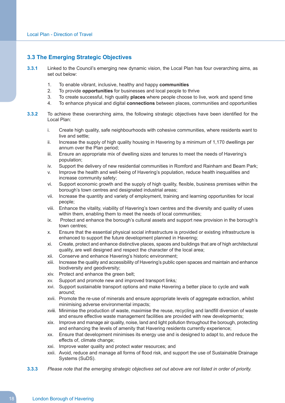## **3.3 The Emerging Strategic Objectives**

- **3.3.1** Linked to the Council's emerging new dynamic vision, the Local Plan has four overarching aims, as set out below:
	- $1<sub>1</sub>$ 1. To enable vibrant, inclusive, healthy and happy **communities**
	- $2.$ 2. To provide **opportunities** for businesses and local people to thrive
	- $3<sub>l</sub>$ 3. To create successful, high quality **places** where people choose to live, work and spend time
	- $\overline{4}$ . 4. To enhance physical and digital **connections** between places, communities and opportunities
- **3.3.2** To achieve these overarching aims, the following strategic objectives have been identified for the Local Plan:
	- i. live and settle; Create high quality, safe neighbourhoods with cohesive communities, where residents want to
	- ii. Increase the supply of high quality housing in Havering by a minimum of 1,170 dwellings per annum over the Plan period;
	- iii. Ensure an appropriate mix of dwelling sizes and tenures to meet the needs of Havering's population;
	- iv. Support the delivery of new residential communities in Romford and Rainham and Beam Park;
	- v. Improve the health and well-being of Havering's population, reduce health inequalities and increase community safety;
	- vi. borough's town centres and designated industrial areas; Support economic growth and the supply of high quality, flexible, business premises within the
	- vii. Increase the quantity and variety of employment, training and learning opportunities for local people;
	- viii. Enhance the vitality, viability of Havering's town centres and the diversity and quality of uses within them, enabling them to meet the needs of local communities;
	- ix. town centres; Protect and enhance the borough's cultural assets and support new provision in the borough's
	- $\mathsf{x}$ . enhanced to support the future development planned in Havering; Ensure that the essential physical social infrastructure is provided or existing infrastructure is
	- xi. Create, protect and enhance distinctive places, spaces and buildings that are of high architectural quality, are well designed and respect the character of the local area;
	- xii. Conserve and enhance Havering's historic environment;
	- xiii. Increase the quality and accessibility of Havering's public open spaces and maintain and enhance biodiversity and geodiversity;
	- xiv. Protect and enhance the green belt;
	- xv. Support and promote new and improved transport links*;*
	- xvi. Support sustainable transport options and make Havering a better place to cycle and walk around;
	- xvii. Promote the re-use of minerals and ensure appropriate levels of aggregate extraction, whilst minimising adverse environmental impacts;
	- xviii. Minimise the production of waste, maximise the reuse, recycling and landfill diversion of waste and ensure effective waste management facilities are provided with new developments;
	- xix. Improve and manage air quality, noise, land and light pollution throughout the borough, protecting and enhancing the levels of amenity that Havering residents currently experience;
	- **XX**  effects of, climate change; Ensure that development minimises its energy use and is designed to adapt to, and reduce the
	- xxi. Improve water quality and protect water resources; and
	- xxii. Avoid, reduce and manage all forms of flood risk, and support the use of Sustainable Drainage Systems (SuDS).
- 3.3.3 Please note that the emerging strategic objectives set out above are not listed in order of priority.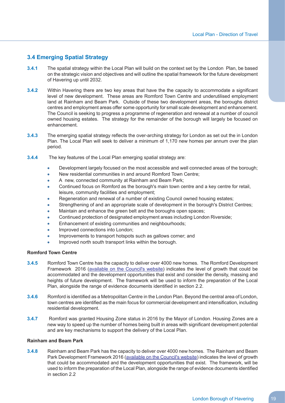## **3.4 Emerging Spatial Strategy**

- **3.4.1** The spatial strategy within the Local Plan will build on the context set by the London Plan, be based on the strategic vision and objectives and will outline the spatial framework for the future development of Havering up until 2032.
- **3.4.2** Within Havering there are two key areas that have the the capacity to accommodate a significant level of new development. These areas are Romford Town Centre and underutilised employment land at Rainham and Beam Park. Outside of these two development areas, the boroughs district centres and employment areas offer some opportunity for small scale development and enhancement. The Council is seeking to progress a programme of regeneration and renewal at a number of council owned housing estates. The strategy for the remainder of the borough will largely be focused on enhancement.
- **3.4.3** The emerging spatial strategy reflects the over-arching strategy for London as set out the in London Plan. The Local Plan will seek to deliver a minimum of 1,170 new homes per annum over the plan period.
- **3.4.4** The key features of the Local Plan emerging spatial strategy are:
	- Development largely focused on the most accessible and well connected areas of the borough;
	- New residential communities in and around Romford Town Centre;
	- A new, connected community at Rainham and Beam Park;
	- Continued focus on Romford as the borough's main town centre and a key centre for retail, leisure, community facilities and employment;
	- Regeneration and renewal of a number of existing Council owned housing estates;
	- Strengthening of and an appropriate scale of development in the borough's District Centres;
	- Maintain and enhance the green belt and the boroughs open spaces;
	- Continued protection of designated employment areas including London Riverside;
	- Enhancement of existing communities and neighbourhoods;
	- Improved connections into London;
	- Improvements to transport hotspots such as gallows corner; and
	- Improved north south transport links within the borough.

#### **Romford Town Centre**

- **3.4.5** Romford Town Centre has the capacity to deliver over 4000 new homes. The Romford Development Framework 2016 (available on the [Council's](https://www3.havering.gov.uk/Pages/Category/Regeneration.aspx) website) indicates the level of growth that could be accommodated and the development opportunities that exist and consider the density, massing and heights of future development. The framework will be used to inform the preparation of the Local Plan, alongside the range of evidence documents identified in section 2.2.
- **3.4.6** Romford is identified as a Metropolitan Centre in the London Plan. Beyond the central area of London, town centres are identified as the main focus for commercial development and intensification, including residential development.
- **3.4.7** Romford was granted Housing Zone status in 2016 by the Mayor of London. Housing Zones are a new way to speed up the number of homes being built in areas with significant development potential and are key mechanisms to support the delivery of the Local Plan.

#### **Rainham and Beam Park**

 **3.4.8** Rainham and Beam Park has the capacity to deliver over 4000 new homes. The Rainham and Beam Park Development Framework 2016 (available on the [Council's](https://www3.havering.gov.uk/Pages/Category/Regeneration.aspx) website) indicates the level of growth that could be accommodated and the development opportunities that exist. The framework, will be used to inform the preparation of the Local Plan, alongside the range of evidence documents identified in section 2.2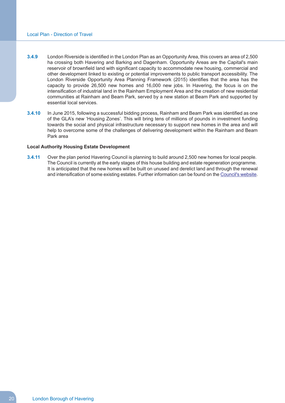- **3.4.9** London Riverside is identified in the London Plan as an Opportunity Area, this covers an area of 2,500 ha crossing both Havering and Barking and Dagenham. Opportunity Areas are the Capital's main reservoir of brownfield land with significant capacity to accommodate new housing, commercial and other development linked to existing or potential improvements to public transport accessibility. The London Riverside Opportunity Area Planning Framework (2015) identifies that the area has the capacity to provide 26,500 new homes and 16,000 new jobs. In Havering, the focus is on the intensification of industrial land in the Rainham Employment Area and the creation of new residential communities at Rainham and Beam Park, served by a new station at Beam Park and supported by essential local services.
- **3.4.10** In June 2015, following a successful bidding process, Rainham and Beam Park was identified as one of the GLA's new 'Housing Zones'. This will bring tens of millions of pounds in investment funding towards the social and physical infrastructure necessary to support new homes in the area and will help to overcome some of the challenges of delivering development within the Rainham and Beam Park area

#### **Local Authority Housing Estate Development**

 **3.4.11** Over the plan period Havering Council is planning to build around 2,500 new homes for local people. The Council is currently at the early stages of this house building and estate regeneration programme. It is anticipated that the new homes will be built on unused and derelict land and through the renewal and intensification of some existing estates. Further information can be found on the [Council's](https://www.havering.gov.uk/Pages/ServiceChild/Housing-Regeneration.aspx) website.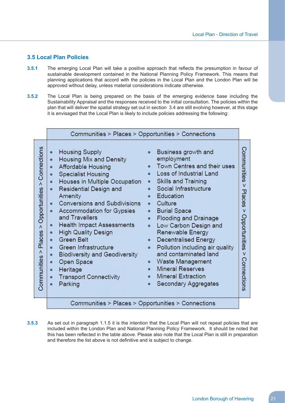## **3.5 Local Plan Policies**

- **3.5.1** The emerging Local Plan will take a positive approach that reflects the presumption in favour of sustainable development contained in the National Planning Policy Framework. This means that planning applications that accord with the policies in the Local Plan and the London Plan will be approved without delay, unless material considerations indicate otherwise.
- **3.5.2** The Local Plan is being prepared on the basis of the emerging evidence base including the Sustainability Appraisal and the responses received to the initial consultation. The policies within the plan that will deliver the spatial strategy set out in section 3.4 are still evolving however, at this stage it is envisaged that the Local Plan is likely to include policies addressing the following:

|                                                                                                               | Communities > Places > Opportunities > Connections                                                                                                                                                                                                                                                                                                                                                                                                                                                                                                                                                                                                                          |                                                                                                                                                                                                                                                                                                                                                                                                                                                                                                                                                                  |                                                                                            |
|---------------------------------------------------------------------------------------------------------------|-----------------------------------------------------------------------------------------------------------------------------------------------------------------------------------------------------------------------------------------------------------------------------------------------------------------------------------------------------------------------------------------------------------------------------------------------------------------------------------------------------------------------------------------------------------------------------------------------------------------------------------------------------------------------------|------------------------------------------------------------------------------------------------------------------------------------------------------------------------------------------------------------------------------------------------------------------------------------------------------------------------------------------------------------------------------------------------------------------------------------------------------------------------------------------------------------------------------------------------------------------|--------------------------------------------------------------------------------------------|
| Connections<br>$\boldsymbol{\Lambda}$<br>Opportunities<br>$\boldsymbol{\wedge}$<br>Places<br>٨<br>Communities | <b>Housing Supply</b><br>$\bullet$<br>Housing Mix and Density<br>$\bullet$<br><b>Affordable Housing</b><br>٠<br><b>Specialist Housing</b><br>$\bullet$<br>Houses in Multiple Occupation<br>٠<br>Residential Design and<br>Amenity<br><b>Conversions and Subdivisions</b><br>٠<br>Accommodation for Gypsies<br>$\bullet$<br>and Travellers<br><b>Health Impact Assessments</b><br>$\bullet$<br><b>High Quality Design</b><br>$\bullet$<br><b>Green Belt</b><br>$\bullet$<br>Green Infrastructure<br>$\bullet$<br><b>Biodiversity and Geodiversity</b><br>٠<br>Open Space<br>$\bullet$<br>Heritage<br>٠<br><b>Transport Connectivity</b><br>$\bullet$<br>Parking<br>$\bullet$ | Business growth and<br>employment<br>Town Centres and their uses<br>Loss of Industrial Land<br><b>Skills and Training</b><br>٠<br>Social Infrastructure<br>Education<br>Culture<br>$\bullet$<br><b>Burial Space</b><br>Flooding and Drainage<br>$\bullet$<br>Low Carbon Design and<br>$\bullet$<br>Renewable Energy<br><b>Decentralised Energy</b><br>$\bullet$<br>Pollution including air quality<br>$\bullet$<br>and contaminated land<br>Waste Management<br>$\bullet$<br><b>Mineral Reserves</b><br><b>Mineral Extraction</b><br><b>Secondary Aggregates</b> | Communities<br>v<br>Places<br>$\overline{\mathsf{v}}$<br>Opportunities<br>v<br>Connections |
|                                                                                                               | Communities > Places > Opportunities > Connections                                                                                                                                                                                                                                                                                                                                                                                                                                                                                                                                                                                                                          |                                                                                                                                                                                                                                                                                                                                                                                                                                                                                                                                                                  |                                                                                            |

 **3.5.3** As set out in paragraph 1.1.5 it is the intention that the Local Plan will not repeat policies that are included within the London Plan and National Planning Policy Framework. It should be noted that this has been reflected in the table above. Please also note that the Local Plan is still in preparation and therefore the list above is not definitive and is subject to change.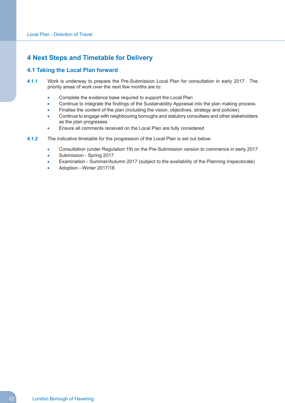## **4 Next Steps and Timetable for Delivery**

## **4.1 Taking the Local Plan forward**

- **4.1.1** Work is underway to prepare the Pre-Submission Local Plan for consultation in early 2017. The priority areas of work over the next few months are to:
	- $\bullet$ Complete the evidence base required to support the Local Plan
	- Continue to integrate the findings of the Sustainability Appraisal into the plan making process
	- Finalise the content of the plan (including the vision, objectives, strategy and policies)
	- $\bullet$  Continue to engage with neighbouring boroughs and statutory consultees and other stakeholders as the plan progresses
	- Ensure all comments received on the Local Plan are fully considered
- **4.1.2** The indicative timetable for the progression of the Local Plan is set out below:
	- Consultation (under Regulation 19) on the Pre-Submission version to commence in early 2017
	- Submission Spring 2017  $\bullet$
	- $\Delta$ Examination - Summer/Autumn 2017 (subject to the availability of the Planning Inspectorate)
	- Adoption Winter 2017/18